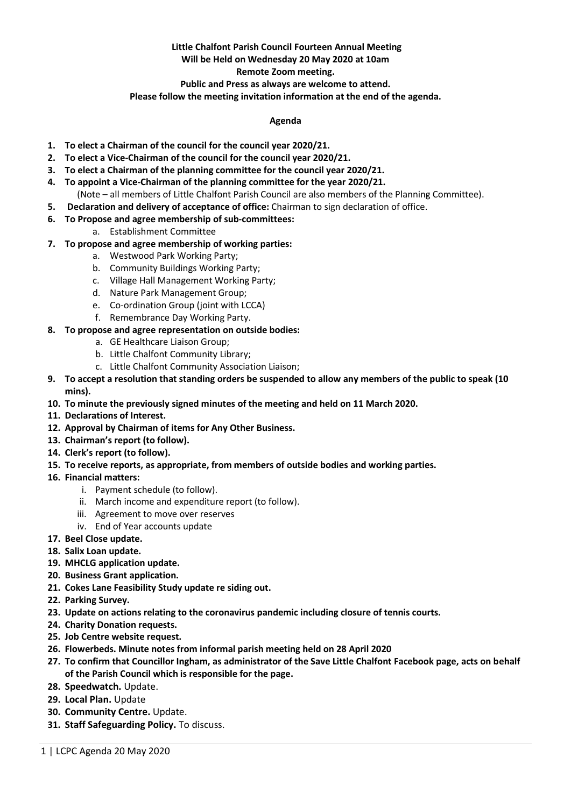# **Little Chalfont Parish Council Fourteen Annual Meeting**

# **Will be Held on Wednesday 20 May 2020 at 10am**

### **Remote Zoom meeting.**

**Public and Press as always are welcome to attend.** 

**Please follow the meeting invitation information at the end of the agenda.**

## **Agenda**

- **1. To elect a Chairman of the council for the council year 2020/21.**
- **2. To elect a Vice-Chairman of the council for the council year 2020/21.**
- **3. To elect a Chairman of the planning committee for the council year 2020/21.**
- **4. To appoint a Vice-Chairman of the planning committee for the year 2020/21.** (Note – all members of Little Chalfont Parish Council are also members of the Planning Committee).
- **5. Declaration and delivery of acceptance of office:** Chairman to sign declaration of office.
- **6. To Propose and agree membership of sub-committees:**
	- a. Establishment Committee
- **7. To propose and agree membership of working parties:**
	- a. Westwood Park Working Party;
	- b. Community Buildings Working Party;
	- c. Village Hall Management Working Party;
	- d. Nature Park Management Group;
	- e. Co-ordination Group (joint with LCCA)
	- f. Remembrance Day Working Party.

# **8. To propose and agree representation on outside bodies:**

- a. GE Healthcare Liaison Group;
- b. Little Chalfont Community Library;
- c. Little Chalfont Community Association Liaison;
- **9. To accept a resolution that standing orders be suspended to allow any members of the public to speak (10 mins).**
- **10. To minute the previously signed minutes of the meeting and held on 11 March 2020.**
- **11. Declarations of Interest.**
- **12. Approval by Chairman of items for Any Other Business.**
- **13. Chairman's report (to follow).**
- **14. Clerk's report (to follow).**
- **15. To receive reports, as appropriate, from members of outside bodies and working parties.**
- **16. Financial matters:** 
	- i. Payment schedule (to follow).
	- ii. March income and expenditure report (to follow).
	- iii. Agreement to move over reserves
	- iv. End of Year accounts update
- **17. Beel Close update.**
- **18. Salix Loan update.**
- **19. MHCLG application update.**
- **20. Business Grant application.**
- **21. Cokes Lane Feasibility Study update re siding out.**
- **22. Parking Survey.**
- **23. Update on actions relating to the coronavirus pandemic including closure of tennis courts.**
- **24. Charity Donation requests.**
- **25. Job Centre website request.**
- **26. Flowerbeds. Minute notes from informal parish meeting held on 28 April 2020**
- **27. To confirm that Councillor Ingham, as administrator of the Save Little Chalfont Facebook page, acts on behalf of the Parish Council which is responsible for the page.**
- **28. Speedwatch.** Update.
- **29. Local Plan.** Update
- **30. Community Centre.** Update.
- **31. Staff Safeguarding Policy.** To discuss.